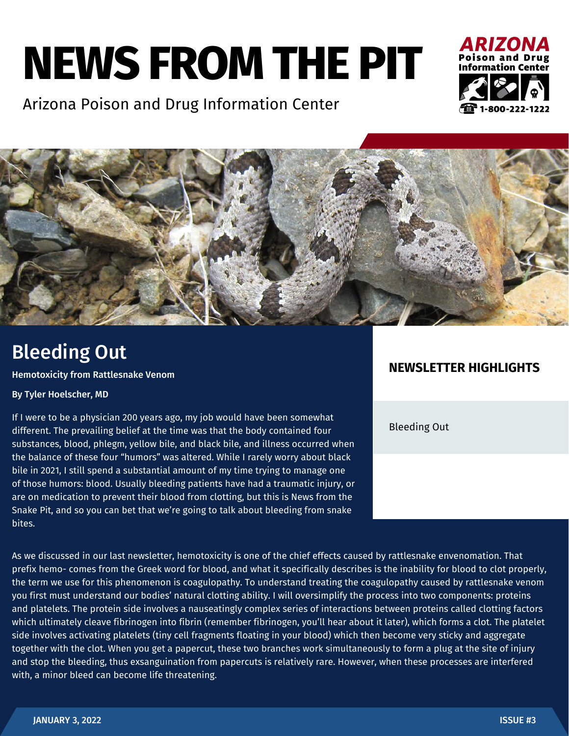# **NEWS FROM THE PIT**

Arizona Poison and Drug Information Center





## Bleeding Out

Hemotoxicity from Rattlesnake Venom

#### By Tyler Hoelscher, MD

If I were to be a physician 200 years ago, my job would have been somewhat different. The prevailing belief at the time was that the body contained four substances, blood, phlegm, yellow bile, and black bile, and illness occurred when the balance of these four "humors" was altered. While I rarely worry about black bile in 2021, I still spend a substantial amount of my time trying to manage one of those humors: blood. Usually bleeding patients have had a traumatic injury, or are on medication to prevent their blood from clotting, but this is News from the Snake Pit, and so you can bet that we're going to talk about bleeding from snake bites.

#### **NEWSLETTER HIGHLIGHTS**

Bleeding Out

As we discussed in our last newsletter, hemotoxicity is one of the chief effects caused by rattlesnake envenomation. That prefix hemo- comes from the Greek word for blood, and what it specifically describes is the inability for blood to clot properly, the term we use for this phenomenon is coagulopathy. To understand treating the coagulopathy caused by rattlesnake venom you first must understand our bodies' natural clotting ability. I will oversimplify the process into two components: proteins and platelets. The protein side involves a nauseatingly complex series of interactions between proteins called clotting factors which ultimately cleave fibrinogen into fibrin (remember fibrinogen, you'll hear about it later), which forms a clot. The platelet side involves activating platelets (tiny cell fragments floating in your blood) which then become very sticky and aggregate together with the clot. When you get a papercut, these two branches work simultaneously to form a plug at the site of injury and stop the bleeding, thus exsanguination from papercuts is relatively rare. However, when these processes are interfered with, a minor bleed can become life threatening.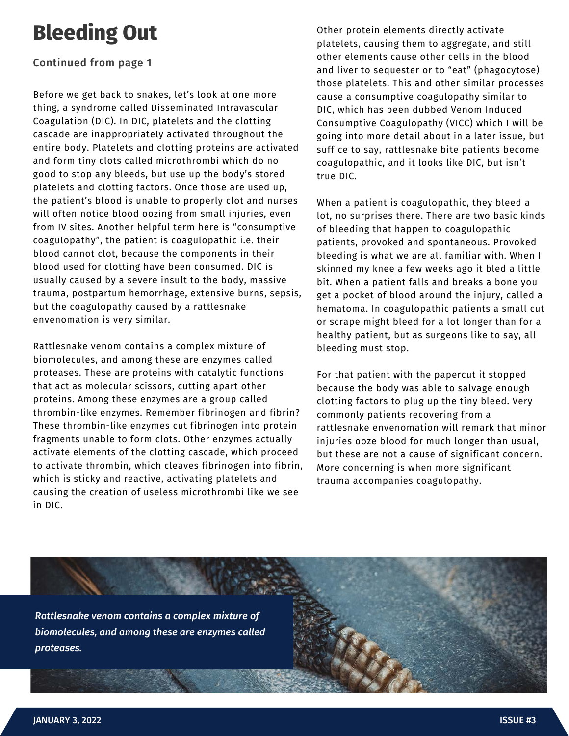## **Bleeding Out**

#### Continued from page 1

Before we get back to snakes, let's look at one more thing, a syndrome called Disseminated Intravascular Coagulation (DIC). In DIC, platelets and the clotting cascade are inappropriately activated throughout the entire body. Platelets and clotting proteins are activated and form tiny clots called microthrombi which do no good to stop any bleeds, but use up the body's stored platelets and clotting factors. Once those are used up, the patient's blood is unable to properly clot and nurses will often notice blood oozing from small injuries, even from IV sites. Another helpful term here is "consumptive coagulopathy", the patient is coagulopathic i.e. their blood cannot clot, because the components in their blood used for clotting have been consumed. DIC is usually caused by a severe insult to the body, massive trauma, postpartum hemorrhage, extensive burns, sepsis, but the coagulopathy caused by a rattlesnake envenomation is very similar.

Rattlesnake venom contains a complex mixture of biomolecules, and among these are enzymes called proteases. These are proteins with catalytic functions that act as molecular scissors, cutting apart other proteins. Among these enzymes are a group called thrombin-like enzymes. Remember fibrinogen and fibrin? These thrombin-like enzymes cut fibrinogen into protein fragments unable to form clots. Other enzymes actually activate elements of the clotting cascade, which proceed to activate thrombin, which cleaves fibrinogen into fibrin, which is sticky and reactive, activating platelets and causing the creation of useless microthrombi like we see in DIC.

Other protein elements directly activate platelets, causing them to aggregate, and still other elements cause other cells in the blood and liver to sequester or to "eat" (phagocytose) those platelets. This and other similar processes cause a consumptive coagulopathy similar to DIC, which has been dubbed Venom Induced Consumptive Coagulopathy (VICC) which I will be going into more detail about in a later issue, but suffice to say, rattlesnake bite patients become coagulopathic, and it looks like DIC, but isn't true DIC.

When a patient is coagulopathic, they bleed a lot, no surprises there. There are two basic kinds of bleeding that happen to coagulopathic patients, provoked and spontaneous. Provoked bleeding is what we are all familiar with. When I skinned my knee a few weeks ago it bled a little bit. When a patient falls and breaks a bone you get a pocket of blood around the injury, called a hematoma. In coagulopathic patients a small cut or scrape might bleed for a lot longer than for a healthy patient, but as surgeons like to say, all bleeding must stop.

For that patient with the papercut it stopped because the body was able to salvage enough clotting factors to plug up the tiny bleed. Very commonly patients recovering from a rattlesnake envenomation will remark that minor injuries ooze blood for much longer than usual, but these are not a cause of significant concern. More concerning is when more significant trauma accompanies coagulopathy.

*Rattlesnake venom contains a complex mixture of biomolecules, and among these are enzymes called proteases.*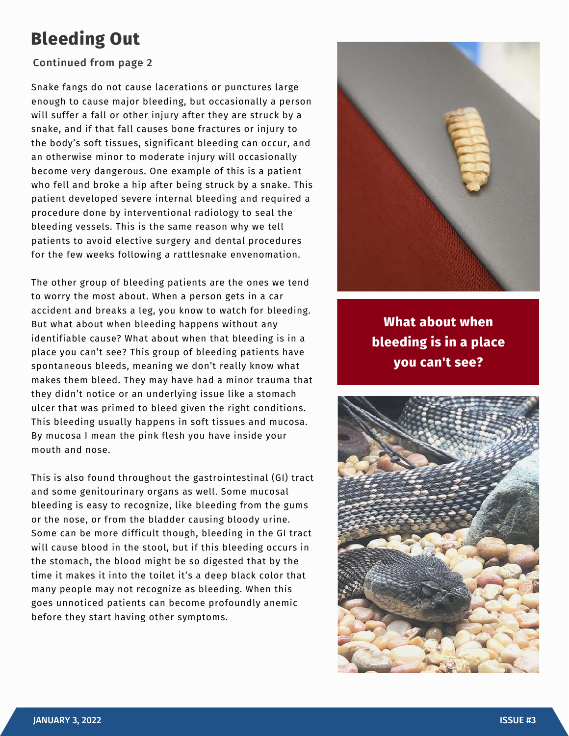### **Bleeding Out**

#### Continued from page 2

Snake fangs do not cause lacerations or punctures large enough to cause major bleeding, but occasionally a person will suffer a fall or other injury after they are struck by a snake, and if that fall causes bone fractures or injury to the body's soft tissues, significant bleeding can occur, and an otherwise minor to moderate injury will occasionally become very dangerous. One example of this is a patient who fell and broke a hip after being struck by a snake. This patient developed severe internal bleeding and required a procedure done by interventional radiology to seal the bleeding vessels. This is the same reason why we tell patients to avoid elective surgery and dental procedures for the few weeks following a rattlesnake envenomation.

The other group of bleeding patients are the ones we tend to worry the most about. When a person gets in a car accident and breaks a leg, you know to watch for bleeding. But what about when bleeding happens without any identifiable cause? What about when that bleeding is in a place you can't see? This group of bleeding patients have spontaneous bleeds, meaning we don't really know what makes them bleed. They may have had a minor trauma that they didn't notice or an underlying issue like a stomach ulcer that was primed to bleed given the right conditions. This bleeding usually happens in soft tissues and mucosa. By mucosa I mean the pink flesh you have inside your mouth and nose.

This is also found throughout the gastrointestinal (GI) tract and some genitourinary organs as well. Some mucosal bleeding is easy to recognize, like bleeding from the gums or the nose, or from the bladder causing bloody urine. Some can be more difficult though, bleeding in the GI tract will cause blood in the stool, but if this bleeding occurs in the stomach, the blood might be so digested that by the time it makes it into the toilet it's a deep black color that many people may not recognize as bleeding. When this goes unnoticed patients can become profoundly anemic before they start having other symptoms.



**What about when bleeding is in a place you can't see?**